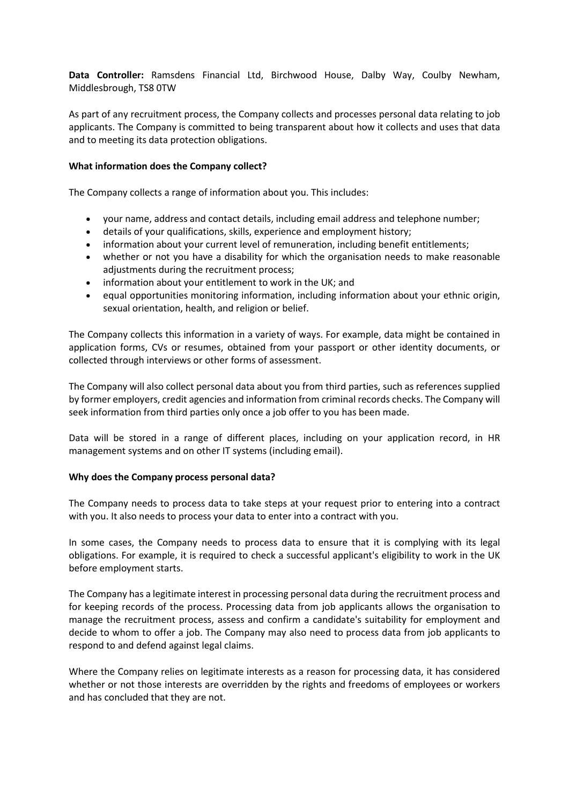Data Controller: Ramsdens Financial Ltd, Birchwood House, Dalby Way, Coulby Newham, Middlesbrough, TS8 0TW

As part of any recruitment process, the Company collects and processes personal data relating to job applicants. The Company is committed to being transparent about how it collects and uses that data and to meeting its data protection obligations.

# What information does the Company collect?

The Company collects a range of information about you. This includes:

- your name, address and contact details, including email address and telephone number;
- details of your qualifications, skills, experience and employment history;
- information about your current level of remuneration, including benefit entitlements;
- whether or not you have a disability for which the organisation needs to make reasonable adjustments during the recruitment process;
- information about your entitlement to work in the UK; and
- equal opportunities monitoring information, including information about your ethnic origin, sexual orientation, health, and religion or belief.

The Company collects this information in a variety of ways. For example, data might be contained in application forms, CVs or resumes, obtained from your passport or other identity documents, or collected through interviews or other forms of assessment.

The Company will also collect personal data about you from third parties, such as references supplied by former employers, credit agencies and information from criminal records checks. The Company will seek information from third parties only once a job offer to you has been made.

Data will be stored in a range of different places, including on your application record, in HR management systems and on other IT systems (including email).

# Why does the Company process personal data?

The Company needs to process data to take steps at your request prior to entering into a contract with you. It also needs to process your data to enter into a contract with you.

In some cases, the Company needs to process data to ensure that it is complying with its legal obligations. For example, it is required to check a successful applicant's eligibility to work in the UK before employment starts.

The Company has a legitimate interest in processing personal data during the recruitment process and for keeping records of the process. Processing data from job applicants allows the organisation to manage the recruitment process, assess and confirm a candidate's suitability for employment and decide to whom to offer a job. The Company may also need to process data from job applicants to respond to and defend against legal claims.

Where the Company relies on legitimate interests as a reason for processing data, it has considered whether or not those interests are overridden by the rights and freedoms of employees or workers and has concluded that they are not.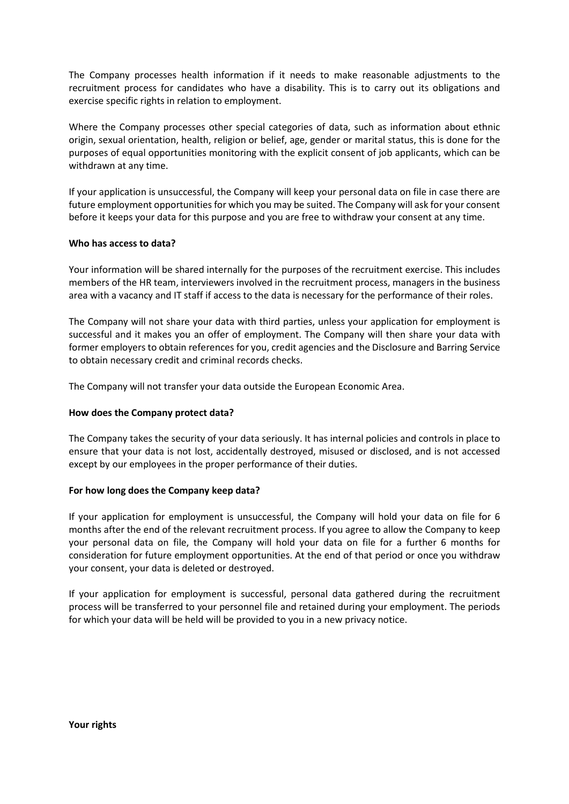The Company processes health information if it needs to make reasonable adjustments to the recruitment process for candidates who have a disability. This is to carry out its obligations and exercise specific rights in relation to employment.

Where the Company processes other special categories of data, such as information about ethnic origin, sexual orientation, health, religion or belief, age, gender or marital status, this is done for the purposes of equal opportunities monitoring with the explicit consent of job applicants, which can be withdrawn at any time.

If your application is unsuccessful, the Company will keep your personal data on file in case there are future employment opportunities for which you may be suited. The Company will ask for your consent before it keeps your data for this purpose and you are free to withdraw your consent at any time.

# Who has access to data?

Your information will be shared internally for the purposes of the recruitment exercise. This includes members of the HR team, interviewers involved in the recruitment process, managers in the business area with a vacancy and IT staff if access to the data is necessary for the performance of their roles.

The Company will not share your data with third parties, unless your application for employment is successful and it makes you an offer of employment. The Company will then share your data with former employers to obtain references for you, credit agencies and the Disclosure and Barring Service to obtain necessary credit and criminal records checks.

The Company will not transfer your data outside the European Economic Area.

# How does the Company protect data?

The Company takes the security of your data seriously. It has internal policies and controls in place to ensure that your data is not lost, accidentally destroyed, misused or disclosed, and is not accessed except by our employees in the proper performance of their duties.

# For how long does the Company keep data?

If your application for employment is unsuccessful, the Company will hold your data on file for 6 months after the end of the relevant recruitment process. If you agree to allow the Company to keep your personal data on file, the Company will hold your data on file for a further 6 months for consideration for future employment opportunities. At the end of that period or once you withdraw your consent, your data is deleted or destroyed.

If your application for employment is successful, personal data gathered during the recruitment process will be transferred to your personnel file and retained during your employment. The periods for which your data will be held will be provided to you in a new privacy notice.